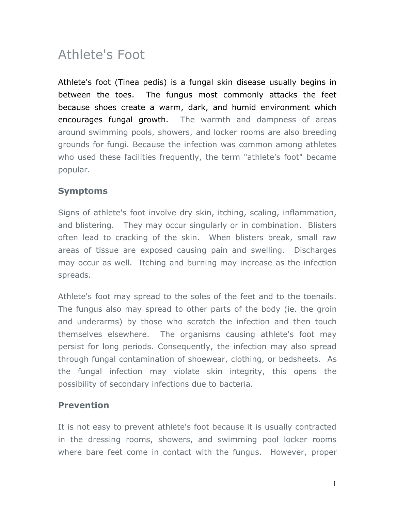## Athlete's Foot

Athlete's foot (Tinea pedis) is a fungal skin disease usually begins in between the toes. The fungus most commonly attacks the feet because shoes create a warm, dark, and humid environment which encourages fungal growth. The warmth and dampness of areas around swimming pools, showers, and locker rooms are also breeding grounds for fungi. Because the infection was common among athletes who used these facilities frequently, the term "athlete's foot" became popular.

## **Symptoms**

Signs of athlete's foot involve dry skin, itching, scaling, inflammation, and blistering. They may occur singularly or in combination. Blisters often lead to cracking of the skin. When blisters break, small raw areas of tissue are exposed causing pain and swelling. Discharges may occur as well. Itching and burning may increase as the infection spreads.

Athlete's foot may spread to the soles of the feet and to the toenails. The fungus also may spread to other parts of the body (ie. the groin and underarms) by those who scratch the infection and then touch themselves elsewhere. The organisms causing athlete's foot may persist for long periods. Consequently, the infection may also spread through fungal contamination of shoewear, clothing, or bedsheets. As the fungal infection may violate skin integrity, this opens the possibility of secondary infections due to bacteria.

## **Prevention**

It is not easy to prevent athlete's foot because it is usually contracted in the dressing rooms, showers, and swimming pool locker rooms where bare feet come in contact with the fungus. However, proper